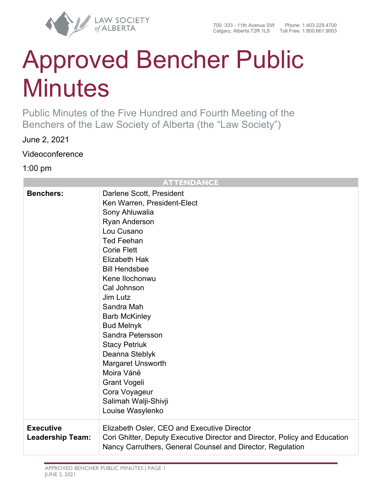

# Approved Bencher Public **Minutes**

Public Minutes of the Five Hundred and Fourth Meeting of the Benchers of the Law Society of Alberta (the "Law Society")

June 2, 2021

Videoconference

1:00 pm

# **ATTENDANCE**

| <b>Benchers:</b>                            | Darlene Scott, President<br>Ken Warren, President-Elect<br>Sony Ahluwalia<br>Ryan Anderson<br>Lou Cusano<br><b>Ted Feehan</b><br><b>Corie Flett</b><br><b>Elizabeth Hak</b><br><b>Bill Hendsbee</b><br>Kene Ilochonwu<br>Cal Johnson<br>Jim Lutz<br>Sandra Mah<br><b>Barb McKinley</b><br><b>Bud Melnyk</b><br>Sandra Petersson<br><b>Stacy Petriuk</b><br>Deanna Steblyk<br>Margaret Unsworth<br>Moira Vánë<br><b>Grant Vogeli</b><br>Cora Voyageur<br>Salimah Walji-Shivji<br>Louise Wasylenko |
|---------------------------------------------|--------------------------------------------------------------------------------------------------------------------------------------------------------------------------------------------------------------------------------------------------------------------------------------------------------------------------------------------------------------------------------------------------------------------------------------------------------------------------------------------------|
| <b>Executive</b><br><b>Leadership Team:</b> | Elizabeth Osler, CEO and Executive Director<br>Cori Ghitter, Deputy Executive Director and Director, Policy and Education<br>Nancy Carruthers, General Counsel and Director, Regulation                                                                                                                                                                                                                                                                                                          |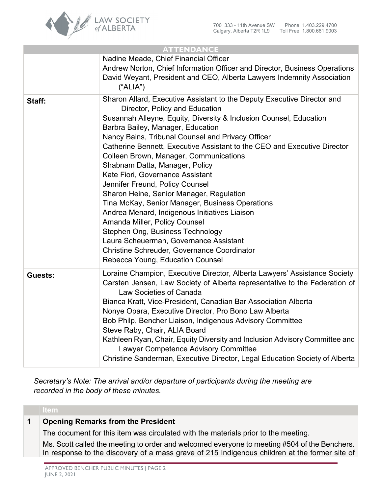

| <b>ATTENDANCE</b> |                                                                                                                                                                                                                                                                                                                                                                                                                                                                                                                                                                                                                                                                                                                                                                                                                                                            |
|-------------------|------------------------------------------------------------------------------------------------------------------------------------------------------------------------------------------------------------------------------------------------------------------------------------------------------------------------------------------------------------------------------------------------------------------------------------------------------------------------------------------------------------------------------------------------------------------------------------------------------------------------------------------------------------------------------------------------------------------------------------------------------------------------------------------------------------------------------------------------------------|
|                   | Nadine Meade, Chief Financial Officer<br>Andrew Norton, Chief Information Officer and Director, Business Operations<br>David Weyant, President and CEO, Alberta Lawyers Indemnity Association<br>("ALIA")                                                                                                                                                                                                                                                                                                                                                                                                                                                                                                                                                                                                                                                  |
| Staff:            | Sharon Allard, Executive Assistant to the Deputy Executive Director and<br>Director, Policy and Education<br>Susannah Alleyne, Equity, Diversity & Inclusion Counsel, Education<br>Barbra Bailey, Manager, Education<br>Nancy Bains, Tribunal Counsel and Privacy Officer<br>Catherine Bennett, Executive Assistant to the CEO and Executive Director<br>Colleen Brown, Manager, Communications<br>Shabnam Datta, Manager, Policy<br>Kate Fiori, Governance Assistant<br>Jennifer Freund, Policy Counsel<br>Sharon Heine, Senior Manager, Regulation<br>Tina McKay, Senior Manager, Business Operations<br>Andrea Menard, Indigenous Initiatives Liaison<br>Amanda Miller, Policy Counsel<br>Stephen Ong, Business Technology<br>Laura Scheuerman, Governance Assistant<br>Christine Schreuder, Governance Coordinator<br>Rebecca Young, Education Counsel |
| <b>Guests:</b>    | Loraine Champion, Executive Director, Alberta Lawyers' Assistance Society<br>Carsten Jensen, Law Society of Alberta representative to the Federation of<br>Law Societies of Canada<br>Bianca Kratt, Vice-President, Canadian Bar Association Alberta<br>Nonye Opara, Executive Director, Pro Bono Law Alberta<br>Bob Philp, Bencher Liaison, Indigenous Advisory Committee<br>Steve Raby, Chair, ALIA Board<br>Kathleen Ryan, Chair, Equity Diversity and Inclusion Advisory Committee and<br>Lawyer Competence Advisory Committee<br>Christine Sanderman, Executive Director, Legal Education Society of Alberta                                                                                                                                                                                                                                          |

*Secretary's Note: The arrival and/or departure of participants during the meeting are recorded in the body of these minutes.*

# **1 Opening Remarks from the President**

The document for this item was circulated with the materials prior to the meeting.

Ms. Scott called the meeting to order and welcomed everyone to meeting #504 of the Benchers. In response to the discovery of a mass grave of 215 Indigenous children at the former site of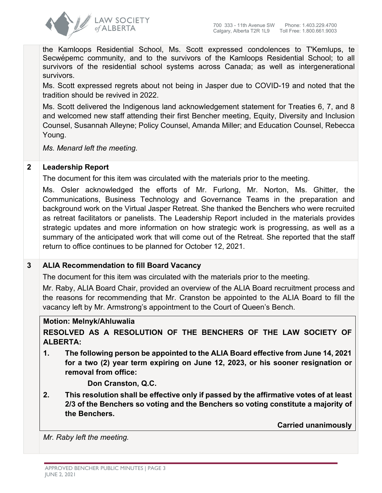

the Kamloops Residential School, Ms. Scott expressed condolences to T'Kemlups, te Secwe pemc community, and to the survivors of the Kamloops Residential School; to all survivors of the residential school systems across Canada; as well as intergenerational survivors.

Ms. Scott expressed regrets about not being in Jasper due to COVID-19 and noted that the tradition should be revived in 2022.

Ms. Scott delivered the Indigenous land acknowledgement statement for Treaties 6, 7, and 8 and welcomed new staff attending their first Bencher meeting, Equity, Diversity and Inclusion Counsel, Susannah Alleyne; Policy Counsel, Amanda Miller; and Education Counsel, Rebecca Young.

*Ms. Menard left the meeting.*

# **2 Leadership Report**

The document for this item was circulated with the materials prior to the meeting.

Ms. Osler acknowledged the efforts of Mr. Furlong, Mr. Norton, Ms. Ghitter, the Communications, Business Technology and Governance Teams in the preparation and background work on the Virtual Jasper Retreat. She thanked the Benchers who were recruited as retreat facilitators or panelists. The Leadership Report included in the materials provides strategic updates and more information on how strategic work is progressing, as well as a summary of the anticipated work that will come out of the Retreat. She reported that the staff return to office continues to be planned for October 12, 2021.

# **3 ALIA Recommendation to fill Board Vacancy**

The document for this item was circulated with the materials prior to the meeting.

Mr. Raby, ALIA Board Chair, provided an overview of the ALIA Board recruitment process and the reasons for recommending that Mr. Cranston be appointed to the ALIA Board to fill the vacancy left by Mr. Armstrong's appointment to the Court of Queen's Bench.

# **Motion: Melnyk/Ahluwalia**

**RESOLVED AS A RESOLUTION OF THE BENCHERS OF THE LAW SOCIETY OF ALBERTA:**

**1. The following person be appointed to the ALIA Board effective from June 14, 2021 for a two (2) year term expiring on June 12, 2023, or his sooner resignation or removal from office:** 

**Don Cranston, Q.C.** 

**2. This resolution shall be effective only if passed by the affirmative votes of at least 2/3 of the Benchers so voting and the Benchers so voting constitute a majority of the Benchers.**

**Carried unanimously**

*Mr. Raby left the meeting.*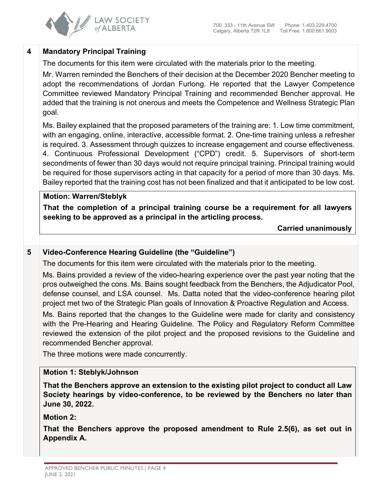

# **4 Mandatory Principal Training**

The documents for this item were circulated with the materials prior to the meeting.

Mr. Warren reminded the Benchers of their decision at the December 2020 Bencher meeting to adopt the recommendations of Jordan Furlong. He reported that the Lawyer Competence Committee reviewed Mandatory Principal Training and recommended Bencher approval. He added that the training is not onerous and meets the Competence and Wellness Strategic Plan goal.

Ms. Bailey explained that the proposed parameters of the training are: 1. Low time commitment, with an engaging, online, interactive, accessible format. 2. One-time training unless a refresher is required. 3. Assessment through quizzes to increase engagement and course effectiveness. 4. Continuous Professional Development ("CPD") credit. 5. Supervisors of short-term secondments of fewer than 30 days would not require principal training. Principal training would be required for those supervisors acting in that capacity for a period of more than 30 days. Ms. Bailey reported that the training cost has not been finalized and that it anticipated to be low cost.

# **Motion: Warren/Steblyk**

**That the completion of a principal training course be a requirement for all lawyers seeking to be approved as a principal in the articling process.**

**Carried unanimously**

# **5 Video-Conference Hearing Guideline (the "Guideline")**

The documents for this item were circulated with the materials prior to the meeting.

Ms. Bains provided a review of the video-hearing experience over the past year noting that the pros outweighed the cons. Ms. Bains sought feedback from the Benchers, the Adjudicator Pool, defense counsel, and LSA counsel. Ms. Datta noted that the video-conference hearing pilot project met two of the Strategic Plan goals of Innovation & Proactive Regulation and Access.

Ms. Bains reported that the changes to the Guideline were made for clarity and consistency with the Pre-Hearing and Hearing Guideline. The Policy and Regulatory Reform Committee reviewed the extension of the pilot project and the proposed revisions to the Guideline and recommended Bencher approval.

The three motions were made concurrently.

# **Motion 1: Steblyk/Johnson**

**That the Benchers approve an extension to the existing pilot project to conduct all Law Society hearings by video-conference, to be reviewed by the Benchers no later than June 30, 2022.**

# **Motion 2:**

**That the Benchers approve the proposed amendment to Rule 2.5(6), as set out in Appendix A.**